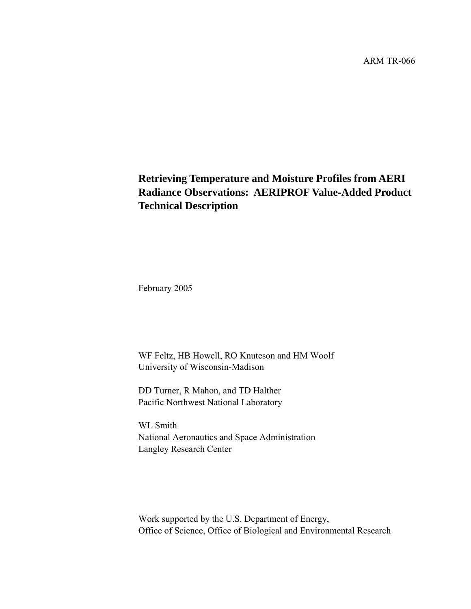ARM TR-066

## **Retrieving Temperature and Moisture Profiles from AERI Radiance Observations: AERIPROF Value-Added Product Technical Description**

February 2005

WF Feltz, HB Howell, RO Knuteson and HM Woolf University of Wisconsin-Madison

DD Turner, R Mahon, and TD Halther Pacific Northwest National Laboratory

WL Smith National Aeronautics and Space Administration Langley Research Center

Work supported by the U.S. Department of Energy, Office of Science, Office of Biological and Environmental Research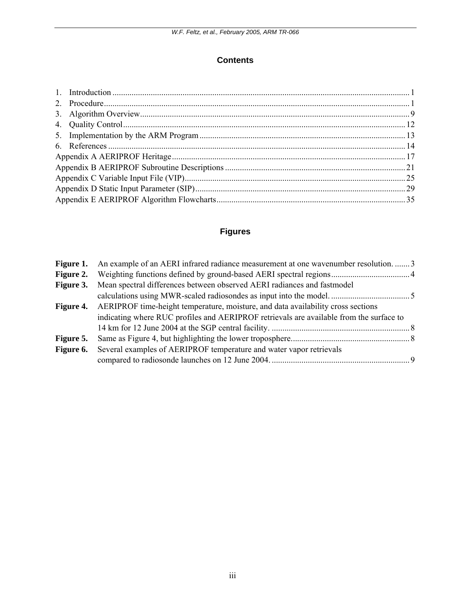## **Contents**

## **Figures**

|                  | <b>Figure 1.</b> An example of an AERI infrared radiance measurement at one wavenumber resolution3 |  |
|------------------|----------------------------------------------------------------------------------------------------|--|
|                  |                                                                                                    |  |
| <b>Figure 3.</b> | Mean spectral differences between observed AERI radiances and fastmodel                            |  |
|                  |                                                                                                    |  |
|                  | <b>Figure 4.</b> AERIPROF time-height temperature, moisture, and data availability cross sections  |  |
|                  | indicating where RUC profiles and AERIPROF retrievals are available from the surface to            |  |
|                  |                                                                                                    |  |
| Figure 5.        |                                                                                                    |  |
|                  | <b>Figure 6.</b> Several examples of AERIPROF temperature and water vapor retrievals               |  |
|                  |                                                                                                    |  |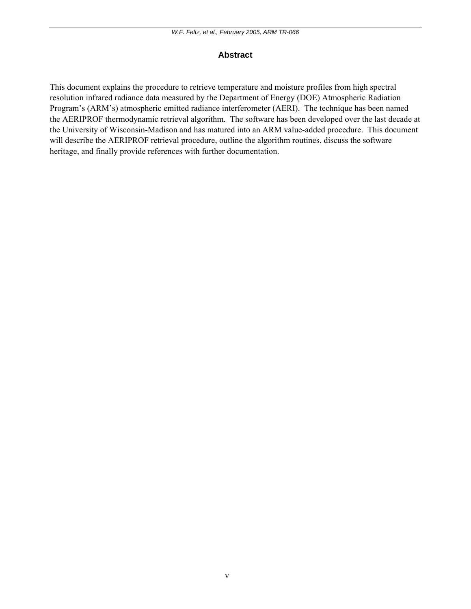### **Abstract**

This document explains the procedure to retrieve temperature and moisture profiles from high spectral resolution infrared radiance data measured by the Department of Energy (DOE) Atmospheric Radiation Program's (ARM's) atmospheric emitted radiance interferometer (AERI). The technique has been named the AERIPROF thermodynamic retrieval algorithm. The software has been developed over the last decade at the University of Wisconsin-Madison and has matured into an ARM value-added procedure. This document will describe the AERIPROF retrieval procedure, outline the algorithm routines, discuss the software heritage, and finally provide references with further documentation.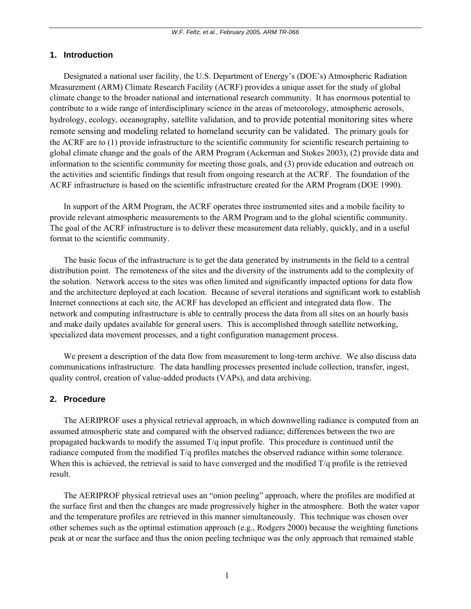#### <span id="page-4-0"></span>**1. Introduction**

 Designated a national user facility, the U.S. Department of Energy's (DOE's) Atmospheric Radiation Measurement (ARM) Climate Research Facility (ACRF) provides a unique asset for the study of global climate change to the broader national and international research community. It has enormous potential to contribute to a wide range of interdisciplinary science in the areas of meteorology, atmospheric aerosols, hydrology, ecology, oceanography, satellite validation, and to provide potential monitoring sites where remote sensing and modeling related to homeland security can be validated. The primary goals for the ACRF are to (1) provide infrastructure to the scientific community for scientific research pertaining to global climate change and the goals of the ARM Program (Ackerman and Stokes 2003), (2) provide data and information to the scientific community for meeting those goals, and (3) provide education and outreach on the activities and scientific findings that result from ongoing research at the ACRF. The foundation of the ACRF infrastructure is based on the scientific infrastructure created for the ARM Program (DOE 1990).

 In support of the ARM Program, the ACRF operates three instrumented sites and a mobile facility to provide relevant atmospheric measurements to the ARM Program and to the global scientific community. The goal of the ACRF infrastructure is to deliver these measurement data reliably, quickly, and in a useful format to the scientific community.

 The basic focus of the infrastructure is to get the data generated by instruments in the field to a central distribution point. The remoteness of the sites and the diversity of the instruments add to the complexity of the solution. Network access to the sites was often limited and significantly impacted options for data flow and the architecture deployed at each location. Because of several iterations and significant work to establish Internet connections at each site, the ACRF has developed an efficient and integrated data flow. The network and computing infrastructure is able to centrally process the data from all sites on an hourly basis and make daily updates available for general users. This is accomplished through satellite networking, specialized data movement processes, and a tight configuration management process.

 We present a description of the data flow from measurement to long-term archive. We also discuss data communications infrastructure. The data handling processes presented include collection, transfer, ingest, quality control, creation of value-added products (VAPs), and data archiving.

#### **2. Procedure**

 The AERIPROF uses a physical retrieval approach, in which downwelling radiance is computed from an assumed atmospheric state and compared with the observed radiance; differences between the two are propagated backwards to modify the assumed T/q input profile. This procedure is continued until the radiance computed from the modified T/q profiles matches the observed radiance within some tolerance. When this is achieved, the retrieval is said to have converged and the modified  $T/q$  profile is the retrieved result.

 The AERIPROF physical retrieval uses an "onion peeling" approach, where the profiles are modified at the surface first and then the changes are made progressively higher in the atmosphere. Both the water vapor and the temperature profiles are retrieved in this manner simultaneously. This technique was chosen over other schemes such as the optimal estimation approach (e.g., Rodgers 2000) because the weighting functions peak at or near the surface and thus the onion peeling technique was the only approach that remained stable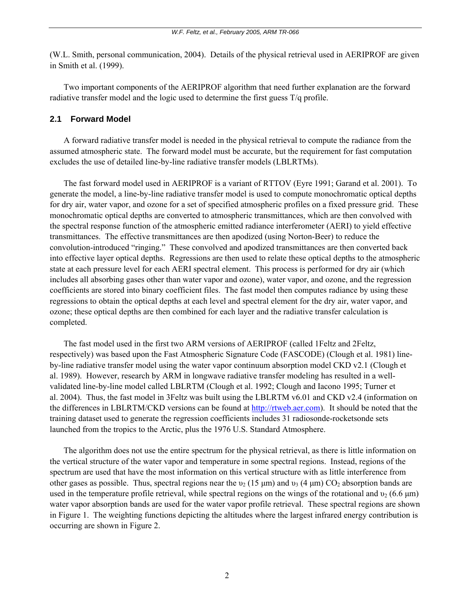(W.L. Smith, personal communication, 2004). Details of the physical retrieval used in AERIPROF are given in Smith et al. (1999).

 Two important components of the AERIPROF algorithm that need further explanation are the forward radiative transfer model and the logic used to determine the first guess T/q profile.

#### **2.1 Forward Model**

 A forward radiative transfer model is needed in the physical retrieval to compute the radiance from the assumed atmospheric state. The forward model must be accurate, but the requirement for fast computation excludes the use of detailed line-by-line radiative transfer models (LBLRTMs).

 The fast forward model used in AERIPROF is a variant of RTTOV (Eyre 1991; Garand et al. 2001). To generate the model, a line-by-line radiative transfer model is used to compute monochromatic optical depths for dry air, water vapor, and ozone for a set of specified atmospheric profiles on a fixed pressure grid. These monochromatic optical depths are converted to atmospheric transmittances, which are then convolved with the spectral response function of the atmospheric emitted radiance interferometer (AERI) to yield effective transmittances. The effective transmittances are then apodized (using Norton-Beer) to reduce the convolution-introduced "ringing." These convolved and apodized transmittances are then converted back into effective layer optical depths. Regressions are then used to relate these optical depths to the atmospheric state at each pressure level for each AERI spectral element. This process is performed for dry air (which includes all absorbing gases other than water vapor and ozone), water vapor, and ozone, and the regression coefficients are stored into binary coefficient files. The fast model then computes radiance by using these regressions to obtain the optical depths at each level and spectral element for the dry air, water vapor, and ozone; these optical depths are then combined for each layer and the radiative transfer calculation is completed.

 The fast model used in the first two ARM versions of AERIPROF (called 1Feltz and 2Feltz, respectively) was based upon the Fast Atmospheric Signature Code (FASCODE) (Clough et al. 1981) lineby-line radiative transfer model using the water vapor continuum absorption model CKD v2.1 (Clough et al. 1989). However, research by ARM in longwave radiative transfer modeling has resulted in a wellvalidated line-by-line model called LBLRTM (Clough et al. 1992; Clough and Iacono 1995; Turner et al. 2004). Thus, the fast model in 3Feltz was built using the LBLRTM v6.01 and CKD v2.4 (information on the differences in LBLRTM/CKD versions can be found at [http://rtweb.aer.com](http://rtweb.aer.com))). It should be noted that the training dataset used to generate the regression coefficients includes 31 radiosonde-rocketsonde sets launched from the tropics to the Arctic, plus the 1976 U.S. Standard Atmosphere.

 The algorithm does not use the entire spectrum for the physical retrieval, as there is little information on the vertical structure of the water vapor and temperature in some spectral regions. Instead, regions of the spectrum are used that have the most information on this vertical structure with as little interference from other gases as possible. Thus, spectral regions near the  $v_2$  (15 μm) and  $v_3$  (4 μm) CO<sub>2</sub> absorption bands are used in the temperature profile retrieval, while spectral regions on the wings of the rotational and  $v_2$  (6.6  $\mu$ m) water vapor absorption bands are used for the water vapor profile retrieval. These spectral regions are shown in Figure 1. The weighting functions depicting the altitudes where the largest infrared energy contribution is occurring are shown in Figure 2.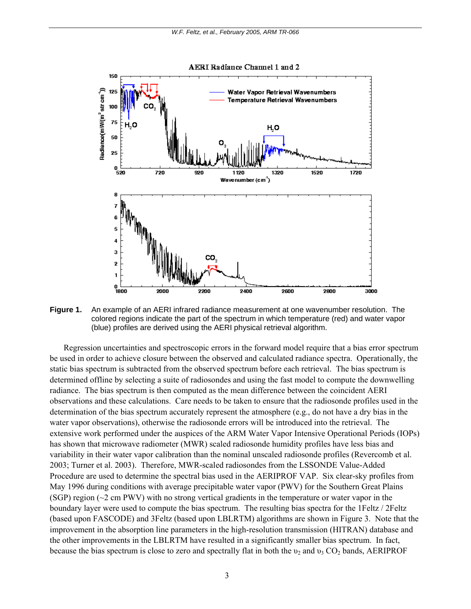<span id="page-6-0"></span>

**Figure 1.** An example of an AERI infrared radiance measurement at one wavenumber resolution. The colored regions indicate the part of the spectrum in which temperature (red) and water vapor (blue) profiles are derived using the AERI physical retrieval algorithm.

 Regression uncertainties and spectroscopic errors in the forward model require that a bias error spectrum be used in order to achieve closure between the observed and calculated radiance spectra. Operationally, the static bias spectrum is subtracted from the observed spectrum before each retrieval. The bias spectrum is determined offline by selecting a suite of radiosondes and using the fast model to compute the downwelling radiance. The bias spectrum is then computed as the mean difference between the coincident AERI observations and these calculations. Care needs to be taken to ensure that the radiosonde profiles used in the determination of the bias spectrum accurately represent the atmosphere (e.g., do not have a dry bias in the water vapor observations), otherwise the radiosonde errors will be introduced into the retrieval. The extensive work performed under the auspices of the ARM Water Vapor Intensive Operational Periods (IOPs) has shown that microwave radiometer (MWR) scaled radiosonde humidity profiles have less bias and variability in their water vapor calibration than the nominal unscaled radiosonde profiles (Revercomb et al. 2003; Turner et al. 2003). Therefore, MWR-scaled radiosondes from the LSSONDE Value-Added Procedure are used to determine the spectral bias used in the AERIPROF VAP. Six clear-sky profiles from May 1996 during conditions with average precipitable water vapor (PWV) for the Southern Great Plains (SGP) region  $\sim$  2 cm PWV) with no strong vertical gradients in the temperature or water vapor in the boundary layer were used to compute the bias spectrum. The resulting bias spectra for the 1Feltz / 2Feltz (based upon FASCODE) and 3Feltz (based upon LBLRTM) algorithms are shown in Figure 3. Note that the improvement in the absorption line parameters in the high-resolution transmission (HITRAN) database and the other improvements in the LBLRTM have resulted in a significantly smaller bias spectrum. In fact, because the bias spectrum is close to zero and spectrally flat in both the  $v_2$  and  $v_3$  CO<sub>2</sub> bands, AERIPROF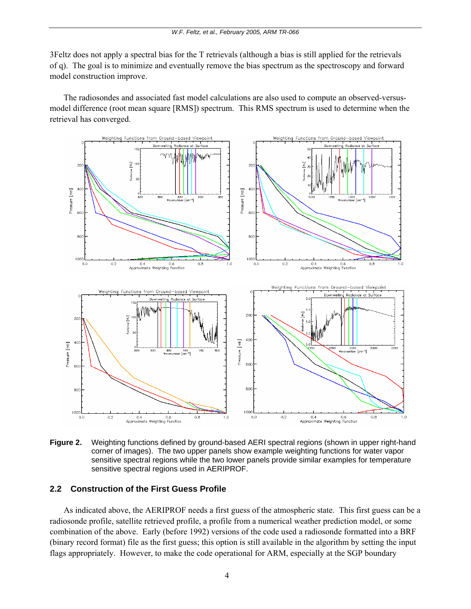<span id="page-7-0"></span>3Feltz does not apply a spectral bias for the T retrievals (although a bias is still applied for the retrievals of q). The goal is to minimize and eventually remove the bias spectrum as the spectroscopy and forward model construction improve.

 The radiosondes and associated fast model calculations are also used to compute an observed-versusmodel difference (root mean square [RMS]) spectrum. This RMS spectrum is used to determine when the retrieval has converged.



**Figure 2.** Weighting functions defined by ground-based AERI spectral regions (shown in upper right-hand corner of images). The two upper panels show example weighting functions for water vapor sensitive spectral regions while the two lower panels provide similar examples for temperature sensitive spectral regions used in AERIPROF.

#### **2.2 Construction of the First Guess Profile**

 As indicated above, the AERIPROF needs a first guess of the atmospheric state. This first guess can be a radiosonde profile, satellite retrieved profile, a profile from a numerical weather prediction model, or some combination of the above. Early (before 1992) versions of the code used a radiosonde formatted into a BRF (binary record format) file as the first guess; this option is still available in the algorithm by setting the input flags appropriately. However, to make the code operational for ARM, especially at the SGP boundary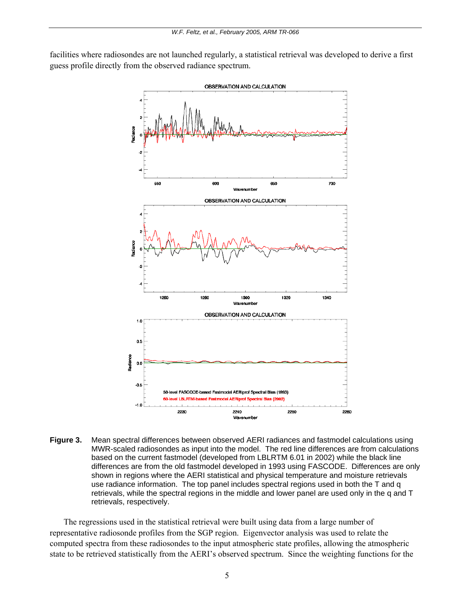<span id="page-8-0"></span>facilities where radiosondes are not launched regularly, a statistical retrieval was developed to derive a first guess profile directly from the observed radiance spectrum.



**Figure 3.** Mean spectral differences between observed AERI radiances and fastmodel calculations using MWR-scaled radiosondes as input into the model. The red line differences are from calculations based on the current fastmodel (developed from LBLRTM 6.01 in 2002) while the black line differences are from the old fastmodel developed in 1993 using FASCODE. Differences are only shown in regions where the AERI statistical and physical temperature and moisture retrievals use radiance information. The top panel includes spectral regions used in both the T and q retrievals, while the spectral regions in the middle and lower panel are used only in the q and T retrievals, respectively.

 The regressions used in the statistical retrieval were built using data from a large number of representative radiosonde profiles from the SGP region. Eigenvector analysis was used to relate the computed spectra from these radiosondes to the input atmospheric state profiles, allowing the atmospheric state to be retrieved statistically from the AERI's observed spectrum. Since the weighting functions for the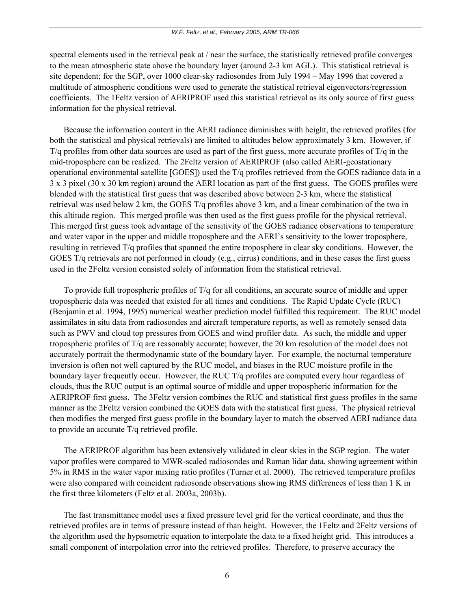spectral elements used in the retrieval peak at / near the surface, the statistically retrieved profile converges to the mean atmospheric state above the boundary layer (around 2-3 km AGL). This statistical retrieval is site dependent; for the SGP, over 1000 clear-sky radiosondes from July 1994 – May 1996 that covered a multitude of atmospheric conditions were used to generate the statistical retrieval eigenvectors/regression coefficients. The 1Feltz version of AERIPROF used this statistical retrieval as its only source of first guess information for the physical retrieval.

 Because the information content in the AERI radiance diminishes with height, the retrieved profiles (for both the statistical and physical retrievals) are limited to altitudes below approximately 3 km. However, if  $T/q$  profiles from other data sources are used as part of the first guess, more accurate profiles of  $T/q$  in the mid-troposphere can be realized. The 2Feltz version of AERIPROF (also called AERI-geostationary operational environmental satellite [GOES]) used the T/q profiles retrieved from the GOES radiance data in a 3 x 3 pixel (30 x 30 km region) around the AERI location as part of the first guess. The GOES profiles were blended with the statistical first guess that was described above between 2-3 km, where the statistical retrieval was used below 2 km, the GOES T/q profiles above 3 km, and a linear combination of the two in this altitude region. This merged profile was then used as the first guess profile for the physical retrieval. This merged first guess took advantage of the sensitivity of the GOES radiance observations to temperature and water vapor in the upper and middle troposphere and the AERI's sensitivity to the lower troposphere, resulting in retrieved T/q profiles that spanned the entire troposphere in clear sky conditions. However, the GOES T/q retrievals are not performed in cloudy (e.g., cirrus) conditions, and in these cases the first guess used in the 2Feltz version consisted solely of information from the statistical retrieval.

 To provide full tropospheric profiles of T/q for all conditions, an accurate source of middle and upper tropospheric data was needed that existed for all times and conditions. The Rapid Update Cycle (RUC) (Benjamin et al. 1994, 1995) numerical weather prediction model fulfilled this requirement. The RUC model assimilates in situ data from radiosondes and aircraft temperature reports, as well as remotely sensed data such as PWV and cloud top pressures from GOES and wind profiler data. As such, the middle and upper tropospheric profiles of T/q are reasonably accurate; however, the 20 km resolution of the model does not accurately portrait the thermodynamic state of the boundary layer. For example, the nocturnal temperature inversion is often not well captured by the RUC model, and biases in the RUC moisture profile in the boundary layer frequently occur. However, the RUC T/q profiles are computed every hour regardless of clouds, thus the RUC output is an optimal source of middle and upper tropospheric information for the AERIPROF first guess. The 3Feltz version combines the RUC and statistical first guess profiles in the same manner as the 2Feltz version combined the GOES data with the statistical first guess. The physical retrieval then modifies the merged first guess profile in the boundary layer to match the observed AERI radiance data to provide an accurate T/q retrieved profile.

 The AERIPROF algorithm has been extensively validated in clear skies in the SGP region. The water vapor profiles were compared to MWR-scaled radiosondes and Raman lidar data, showing agreement within 5% in RMS in the water vapor mixing ratio profiles (Turner et al. 2000). The retrieved temperature profiles were also compared with coincident radiosonde observations showing RMS differences of less than 1 K in the first three kilometers (Feltz et al. 2003a, 2003b).

 The fast transmittance model uses a fixed pressure level grid for the vertical coordinate, and thus the retrieved profiles are in terms of pressure instead of than height. However, the 1Feltz and 2Feltz versions of the algorithm used the hypsometric equation to interpolate the data to a fixed height grid. This introduces a small component of interpolation error into the retrieved profiles. Therefore, to preserve accuracy the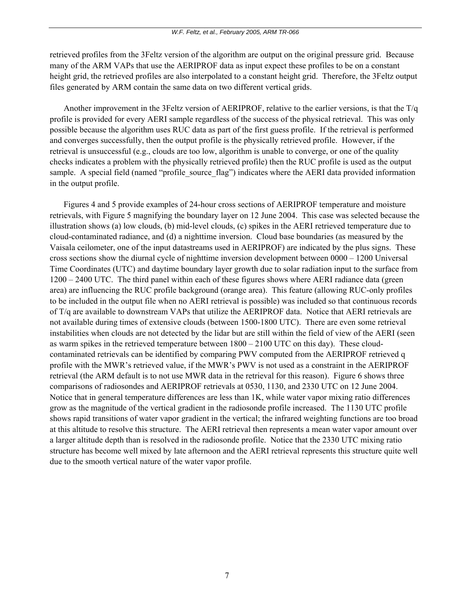retrieved profiles from the 3Feltz version of the algorithm are output on the original pressure grid. Because many of the ARM VAPs that use the AERIPROF data as input expect these profiles to be on a constant height grid, the retrieved profiles are also interpolated to a constant height grid. Therefore, the 3Feltz output files generated by ARM contain the same data on two different vertical grids.

 Another improvement in the 3Feltz version of AERIPROF, relative to the earlier versions, is that the T/q profile is provided for every AERI sample regardless of the success of the physical retrieval. This was only possible because the algorithm uses RUC data as part of the first guess profile. If the retrieval is performed and converges successfully, then the output profile is the physically retrieved profile. However, if the retrieval is unsuccessful (e.g., clouds are too low, algorithm is unable to converge, or one of the quality checks indicates a problem with the physically retrieved profile) then the RUC profile is used as the output sample. A special field (named "profile source flag") indicates where the AERI data provided information in the output profile.

 Figures 4 and 5 provide examples of 24-hour cross sections of AERIPROF temperature and moisture retrievals, with Figure 5 magnifying the boundary layer on 12 June 2004. This case was selected because the illustration shows (a) low clouds, (b) mid-level clouds, (c) spikes in the AERI retrieved temperature due to cloud-contaminated radiance, and (d) a nighttime inversion. Cloud base boundaries (as measured by the Vaisala ceilometer, one of the input datastreams used in AERIPROF) are indicated by the plus signs. These cross sections show the diurnal cycle of nighttime inversion development between 0000 – 1200 Universal Time Coordinates (UTC) and daytime boundary layer growth due to solar radiation input to the surface from 1200 – 2400 UTC. The third panel within each of these figures shows where AERI radiance data (green area) are influencing the RUC profile background (orange area). This feature (allowing RUC-only profiles to be included in the output file when no AERI retrieval is possible) was included so that continuous records of T/q are available to downstream VAPs that utilize the AERIPROF data. Notice that AERI retrievals are not available during times of extensive clouds (between 1500-1800 UTC). There are even some retrieval instabilities when clouds are not detected by the lidar but are still within the field of view of the AERI (seen as warm spikes in the retrieved temperature between  $1800 - 2100$  UTC on this day). These cloudcontaminated retrievals can be identified by comparing PWV computed from the AERIPROF retrieved q profile with the MWR's retrieved value, if the MWR's PWV is not used as a constraint in the AERIPROF retrieval (the ARM default is to not use MWR data in the retrieval for this reason). Figure 6 shows three comparisons of radiosondes and AERIPROF retrievals at 0530, 1130, and 2330 UTC on 12 June 2004. Notice that in general temperature differences are less than 1K, while water vapor mixing ratio differences grow as the magnitude of the vertical gradient in the radiosonde profile increased. The 1130 UTC profile shows rapid transitions of water vapor gradient in the vertical; the infrared weighting functions are too broad at this altitude to resolve this structure. The AERI retrieval then represents a mean water vapor amount over a larger altitude depth than is resolved in the radiosonde profile. Notice that the 2330 UTC mixing ratio structure has become well mixed by late afternoon and the AERI retrieval represents this structure quite well due to the smooth vertical nature of the water vapor profile.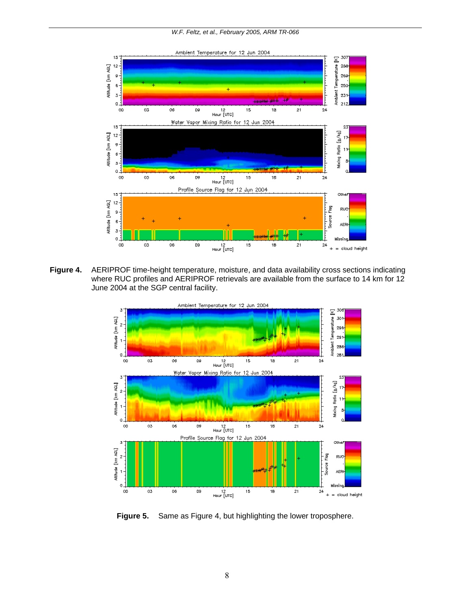<span id="page-11-0"></span>

**Figure 4.** AERIPROF time-height temperature, moisture, and data availability cross sections indicating where RUC profiles and AERIPROF retrievals are available from the surface to 14 km for 12 June 2004 at the SGP central facility.



**Figure 5.** Same as Figure 4, but highlighting the lower troposphere.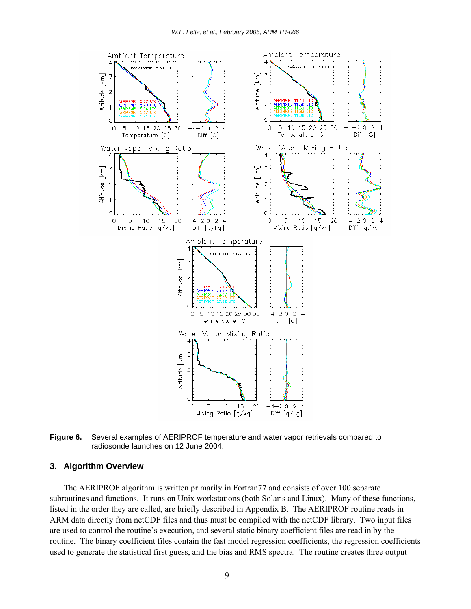<span id="page-12-0"></span>

**Figure 6.** Several examples of AERIPROF temperature and water vapor retrievals compared to radiosonde launches on 12 June 2004.

#### **3. Algorithm Overview**

 The AERIPROF algorithm is written primarily in Fortran77 and consists of over 100 separate subroutines and functions. It runs on Unix workstations (both Solaris and Linux). Many of these functions, listed in the order they are called, are briefly described in Appendix B. The AERIPROF routine reads in ARM data directly from netCDF files and thus must be compiled with the netCDF library. Two input files are used to control the routine's execution, and several static binary coefficient files are read in by the routine. The binary coefficient files contain the fast model regression coefficients, the regression coefficients used to generate the statistical first guess, and the bias and RMS spectra. The routine creates three output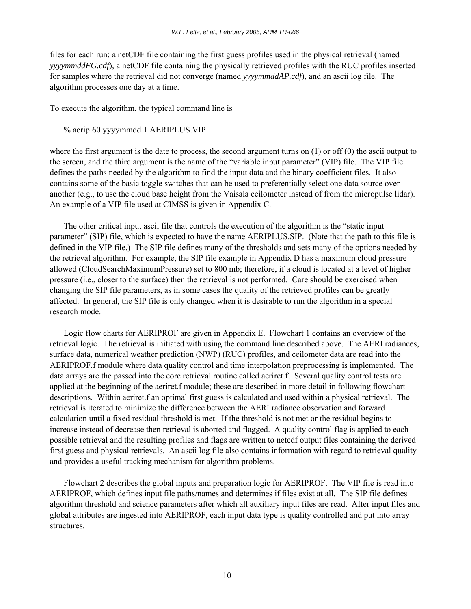files for each run: a netCDF file containing the first guess profiles used in the physical retrieval (named *yyyymmddFG.cdf*), a netCDF file containing the physically retrieved profiles with the RUC profiles inserted for samples where the retrieval did not converge (named *yyyymmddAP.cdf*), and an ascii log file. The algorithm processes one day at a time.

To execute the algorithm, the typical command line is

% aeripl60 yyyymmdd 1 AERIPLUS.VIP

where the first argument is the date to process, the second argument turns on  $(1)$  or off  $(0)$  the ascii output to the screen, and the third argument is the name of the "variable input parameter" (VIP) file. The VIP file defines the paths needed by the algorithm to find the input data and the binary coefficient files. It also contains some of the basic toggle switches that can be used to preferentially select one data source over another (e.g., to use the cloud base height from the Vaisala ceilometer instead of from the micropulse lidar). An example of a VIP file used at CIMSS is given in Appendix C.

 The other critical input ascii file that controls the execution of the algorithm is the "static input parameter" (SIP) file, which is expected to have the name AERIPLUS.SIP. (Note that the path to this file is defined in the VIP file.) The SIP file defines many of the thresholds and sets many of the options needed by the retrieval algorithm. For example, the SIP file example in Appendix D has a maximum cloud pressure allowed (CloudSearchMaximumPressure) set to 800 mb; therefore, if a cloud is located at a level of higher pressure (i.e., closer to the surface) then the retrieval is not performed. Care should be exercised when changing the SIP file parameters, as in some cases the quality of the retrieved profiles can be greatly affected. In general, the SIP file is only changed when it is desirable to run the algorithm in a special research mode.

 Logic flow charts for AERIPROF are given in Appendix E. Flowchart 1 contains an overview of the retrieval logic. The retrieval is initiated with using the command line described above. The AERI radiances, surface data, numerical weather prediction (NWP) (RUC) profiles, and ceilometer data are read into the AERIPROF.f module where data quality control and time interpolation preprocessing is implemented. The data arrays are the passed into the core retrieval routine called aeriret.f. Several quality control tests are applied at the beginning of the aeriret.f module; these are described in more detail in following flowchart descriptions. Within aeriret.f an optimal first guess is calculated and used within a physical retrieval. The retrieval is iterated to minimize the difference between the AERI radiance observation and forward calculation until a fixed residual threshold is met. If the threshold is not met or the residual begins to increase instead of decrease then retrieval is aborted and flagged. A quality control flag is applied to each possible retrieval and the resulting profiles and flags are written to netcdf output files containing the derived first guess and physical retrievals. An ascii log file also contains information with regard to retrieval quality and provides a useful tracking mechanism for algorithm problems.

 Flowchart 2 describes the global inputs and preparation logic for AERIPROF. The VIP file is read into AERIPROF, which defines input file paths/names and determines if files exist at all. The SIP file defines algorithm threshold and science parameters after which all auxiliary input files are read. After input files and global attributes are ingested into AERIPROF, each input data type is quality controlled and put into array structures.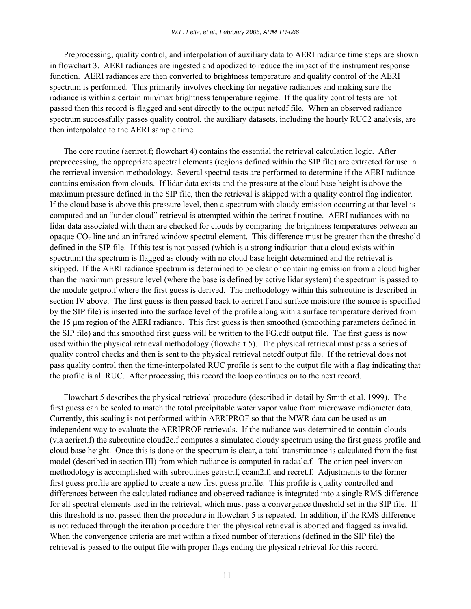Preprocessing, quality control, and interpolation of auxiliary data to AERI radiance time steps are shown in flowchart 3. AERI radiances are ingested and apodized to reduce the impact of the instrument response function. AERI radiances are then converted to brightness temperature and quality control of the AERI spectrum is performed. This primarily involves checking for negative radiances and making sure the radiance is within a certain min/max brightness temperature regime. If the quality control tests are not passed then this record is flagged and sent directly to the output netcdf file. When an observed radiance spectrum successfully passes quality control, the auxiliary datasets, including the hourly RUC2 analysis, are then interpolated to the AERI sample time.

 The core routine (aeriret.f; flowchart 4) contains the essential the retrieval calculation logic. After preprocessing, the appropriate spectral elements (regions defined within the SIP file) are extracted for use in the retrieval inversion methodology. Several spectral tests are performed to determine if the AERI radiance contains emission from clouds. If lidar data exists and the pressure at the cloud base height is above the maximum pressure defined in the SIP file, then the retrieval is skipped with a quality control flag indicator. If the cloud base is above this pressure level, then a spectrum with cloudy emission occurring at that level is computed and an "under cloud" retrieval is attempted within the aeriret.f routine. AERI radiances with no lidar data associated with them are checked for clouds by comparing the brightness temperatures between an opaque  $CO<sub>2</sub>$  line and an infrared window spectral element. This difference must be greater than the threshold defined in the SIP file. If this test is not passed (which is a strong indication that a cloud exists within spectrum) the spectrum is flagged as cloudy with no cloud base height determined and the retrieval is skipped. If the AERI radiance spectrum is determined to be clear or containing emission from a cloud higher than the maximum pressure level (where the base is defined by active lidar system) the spectrum is passed to the module getpro.f where the first guess is derived. The methodology within this subroutine is described in section IV above. The first guess is then passed back to aeriret.f and surface moisture (the source is specified by the SIP file) is inserted into the surface level of the profile along with a surface temperature derived from the 15 µm region of the AERI radiance. This first guess is then smoothed (smoothing parameters defined in the SIP file) and this smoothed first guess will be written to the FG.cdf output file. The first guess is now used within the physical retrieval methodology (flowchart 5). The physical retrieval must pass a series of quality control checks and then is sent to the physical retrieval netcdf output file. If the retrieval does not pass quality control then the time-interpolated RUC profile is sent to the output file with a flag indicating that the profile is all RUC. After processing this record the loop continues on to the next record.

 Flowchart 5 describes the physical retrieval procedure (described in detail by Smith et al. 1999). The first guess can be scaled to match the total precipitable water vapor value from microwave radiometer data. Currently, this scaling is not performed within AERIPROF so that the MWR data can be used as an independent way to evaluate the AERIPROF retrievals. If the radiance was determined to contain clouds (via aeriret.f) the subroutine cloud2c.f computes a simulated cloudy spectrum using the first guess profile and cloud base height. Once this is done or the spectrum is clear, a total transmittance is calculated from the fast model (described in section III) from which radiance is computed in radcalc.f. The onion peel inversion methodology is accomplished with subroutines getrstr.f, ccam2.f, and recret.f. Adjustments to the former first guess profile are applied to create a new first guess profile. This profile is quality controlled and differences between the calculated radiance and observed radiance is integrated into a single RMS difference for all spectral elements used in the retrieval, which must pass a convergence threshold set in the SIP file. If this threshold is not passed then the procedure in flowchart 5 is repeated. In addition, if the RMS difference is not reduced through the iteration procedure then the physical retrieval is aborted and flagged as invalid. When the convergence criteria are met within a fixed number of iterations (defined in the SIP file) the retrieval is passed to the output file with proper flags ending the physical retrieval for this record.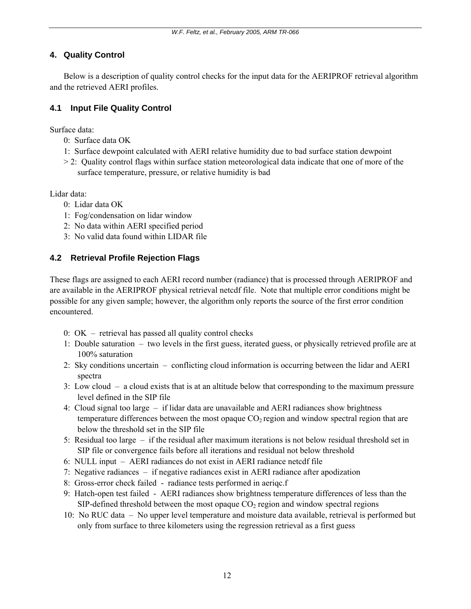## <span id="page-15-0"></span>**4. Quality Control**

 Below is a description of quality control checks for the input data for the AERIPROF retrieval algorithm and the retrieved AERI profiles.

## **4.1 Input File Quality Control**

Surface data:

- 0: Surface data OK
- 1: Surface dewpoint calculated with AERI relative humidity due to bad surface station dewpoint
- $>$  2: Quality control flags within surface station meteorological data indicate that one of more of the surface temperature, pressure, or relative humidity is bad

Lidar data:

- 0: Lidar data OK
- 1: Fog/condensation on lidar window
- 2: No data within AERI specified period
- 3: No valid data found within LIDAR file

## **4.2 Retrieval Profile Rejection Flags**

These flags are assigned to each AERI record number (radiance) that is processed through AERIPROF and are available in the AERIPROF physical retrieval netcdf file. Note that multiple error conditions might be possible for any given sample; however, the algorithm only reports the source of the first error condition encountered.

- 0: OK retrieval has passed all quality control checks
- 1: Double saturation two levels in the first guess, iterated guess, or physically retrieved profile are at 100% saturation
- 2: Sky conditions uncertain conflicting cloud information is occurring between the lidar and AERI spectra
- 3: Low cloud a cloud exists that is at an altitude below that corresponding to the maximum pressure level defined in the SIP file
- 4: Cloud signal too large if lidar data are unavailable and AERI radiances show brightness temperature differences between the most opaque  $CO<sub>2</sub>$  region and window spectral region that are below the threshold set in the SIP file
- 5: Residual too large if the residual after maximum iterations is not below residual threshold set in SIP file or convergence fails before all iterations and residual not below threshold
- 6: NULL input AERI radiances do not exist in AERI radiance netcdf file
- 7: Negative radiances if negative radiances exist in AERI radiance after apodization
- 8: Gross-error check failed radiance tests performed in aeriqc.f
- 9: Hatch-open test failed AERI radiances show brightness temperature differences of less than the SIP-defined threshold between the most opaque  $CO<sub>2</sub>$  region and window spectral regions
- 10: No RUC data No upper level temperature and moisture data available, retrieval is performed but only from surface to three kilometers using the regression retrieval as a first guess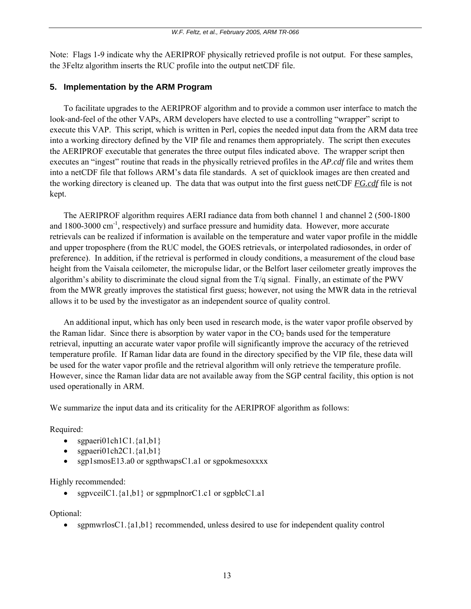<span id="page-16-0"></span>Note: Flags 1-9 indicate why the AERIPROF physically retrieved profile is not output. For these samples, the 3Feltz algorithm inserts the RUC profile into the output netCDF file.

### **5. Implementation by the ARM Program**

 To facilitate upgrades to the AERIPROF algorithm and to provide a common user interface to match the look-and-feel of the other VAPs, ARM developers have elected to use a controlling "wrapper" script to execute this VAP. This script, which is written in Perl, copies the needed input data from the ARM data tree into a working directory defined by the VIP file and renames them appropriately. The script then executes the AERIPROF executable that generates the three output files indicated above. The wrapper script then executes an "ingest" routine that reads in the physically retrieved profiles in the *AP.cdf* file and writes them into a netCDF file that follows ARM's data file standards. A set of quicklook images are then created and the working directory is cleaned up. The data that was output into the first guess netCDF *FG.cdf* file is not kept.

 The AERIPROF algorithm requires AERI radiance data from both channel 1 and channel 2 (500-1800 and  $1800-3000 \text{ cm}^{-1}$ , respectively) and surface pressure and humidity data. However, more accurate retrievals can be realized if information is available on the temperature and water vapor profile in the middle and upper troposphere (from the RUC model, the GOES retrievals, or interpolated radiosondes, in order of preference). In addition, if the retrieval is performed in cloudy conditions, a measurement of the cloud base height from the Vaisala ceilometer, the micropulse lidar, or the Belfort laser ceilometer greatly improves the algorithm's ability to discriminate the cloud signal from the T/q signal. Finally, an estimate of the PWV from the MWR greatly improves the statistical first guess; however, not using the MWR data in the retrieval allows it to be used by the investigator as an independent source of quality control.

 An additional input, which has only been used in research mode, is the water vapor profile observed by the Raman lidar. Since there is absorption by water vapor in the  $CO<sub>2</sub>$  bands used for the temperature retrieval, inputting an accurate water vapor profile will significantly improve the accuracy of the retrieved temperature profile. If Raman lidar data are found in the directory specified by the VIP file, these data will be used for the water vapor profile and the retrieval algorithm will only retrieve the temperature profile. However, since the Raman lidar data are not available away from the SGP central facility, this option is not used operationally in ARM.

We summarize the input data and its criticality for the AERIPROF algorithm as follows:

### Required:

- sgpaeri01ch1C1. $\{a1,b1\}$
- sgpaeri01ch2C1. $\{a1,b1\}$
- sgp1smosE13.a0 or sgpthwapsC1.a1 or sgpokmesoxxxx

### Highly recommended:

• sgpvceilC1. $\{a1,b1\}$  or sgpmplnorC1.c1 or sgpblcC1.a1

### Optional:

• sgpmwrlosC1. $\{a1,b1\}$  recommended, unless desired to use for independent quality control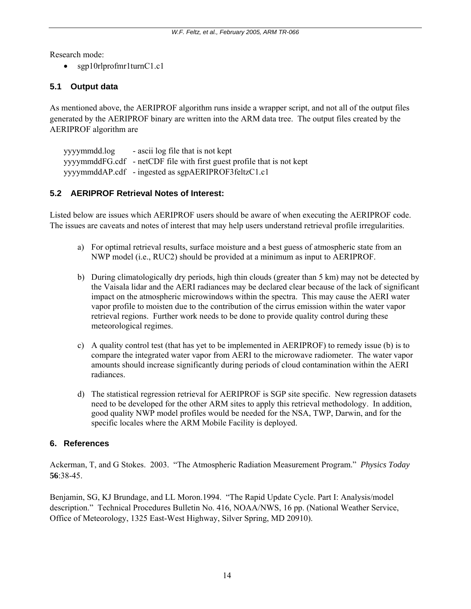<span id="page-17-0"></span>Research mode:

• sgp10rlprofmr1turnC1.c1

### **5.1 Output data**

As mentioned above, the AERIPROF algorithm runs inside a wrapper script, and not all of the output files generated by the AERIPROF binary are written into the ARM data tree. The output files created by the AERIPROF algorithm are

 yyyymmdd.log - ascii log file that is not kept yyyymmddFG.cdf - netCDF file with first guest profile that is not kept yyyymmddAP.cdf - ingested as sgpAERIPROF3feltzC1.c1

### **5.2 AERIPROF Retrieval Notes of Interest:**

Listed below are issues which AERIPROF users should be aware of when executing the AERIPROF code. The issues are caveats and notes of interest that may help users understand retrieval profile irregularities.

- a) For optimal retrieval results, surface moisture and a best guess of atmospheric state from an NWP model (i.e., RUC2) should be provided at a minimum as input to AERIPROF.
- b) During climatologically dry periods, high thin clouds (greater than 5 km) may not be detected by the Vaisala lidar and the AERI radiances may be declared clear because of the lack of significant impact on the atmospheric microwindows within the spectra. This may cause the AERI water vapor profile to moisten due to the contribution of the cirrus emission within the water vapor retrieval regions. Further work needs to be done to provide quality control during these meteorological regimes.
- c) A quality control test (that has yet to be implemented in AERIPROF) to remedy issue (b) is to compare the integrated water vapor from AERI to the microwave radiometer. The water vapor amounts should increase significantly during periods of cloud contamination within the AERI radiances.
- d) The statistical regression retrieval for AERIPROF is SGP site specific. New regression datasets need to be developed for the other ARM sites to apply this retrieval methodology. In addition, good quality NWP model profiles would be needed for the NSA, TWP, Darwin, and for the specific locales where the ARM Mobile Facility is deployed.

### **6. References**

Ackerman, T, and G Stokes. 2003. "The Atmospheric Radiation Measurement Program." *Physics Today*  **56**:38-45.

Benjamin, SG, KJ Brundage, and LL Moron.1994. "The Rapid Update Cycle. Part I: Analysis/model description." Technical Procedures Bulletin No. 416, NOAA/NWS, 16 pp. (National Weather Service, Office of Meteorology, 1325 East-West Highway, Silver Spring, MD 20910).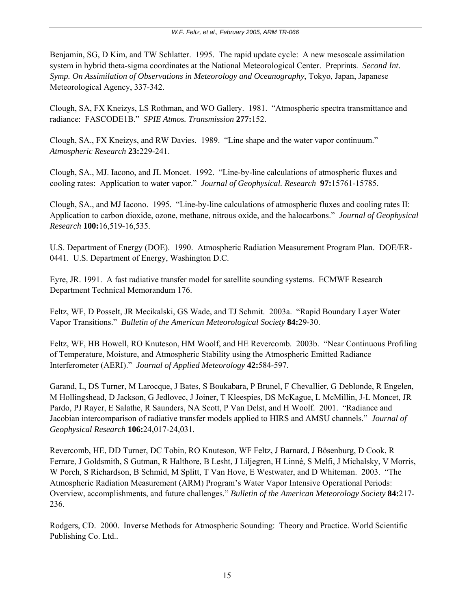Benjamin, SG, D Kim, and TW Schlatter. 1995. The rapid update cycle: A new mesoscale assimilation system in hybrid theta-sigma coordinates at the National Meteorological Center. Preprints. *Second Int. Symp. On Assimilation of Observations in Meteorology and Oceanography*, Tokyo, Japan, Japanese Meteorological Agency, 337-342.

Clough, SA, FX Kneizys, LS Rothman, and WO Gallery. 1981. "Atmospheric spectra transmittance and radiance: FASCODE1B." *SPIE Atmos. Transmission* **277:**152.

Clough, SA., FX Kneizys, and RW Davies. 1989. "Line shape and the water vapor continuum." *Atmospheric Research* **23:**229-241.

Clough, SA., MJ. Iacono, and JL Moncet. 1992. "Line-by-line calculations of atmospheric fluxes and cooling rates: Application to water vapor." *Journal of Geophysical. Research* **97:**15761-15785.

Clough, SA., and MJ Iacono. 1995. "Line-by-line calculations of atmospheric fluxes and cooling rates II: Application to carbon dioxide, ozone, methane, nitrous oxide, and the halocarbons." *Journal of Geophysical Research* **100:**16,519-16,535.

U.S. Department of Energy (DOE). 1990. Atmospheric Radiation Measurement Program Plan. DOE/ER-0441. U.S. Department of Energy, Washington D.C.

Eyre, JR. 1991. A fast radiative transfer model for satellite sounding systems. ECMWF Research Department Technical Memorandum 176.

Feltz, WF, D Posselt, JR Mecikalski, GS Wade, and TJ Schmit. 2003a. "Rapid Boundary Layer Water Vapor Transitions." *Bulletin of the American Meteorological Society* **84:**29-30.

Feltz, WF, HB Howell, RO Knuteson, HM Woolf, and HE Revercomb. 2003b. "Near Continuous Profiling of Temperature, Moisture, and Atmospheric Stability using the Atmospheric Emitted Radiance Interferometer (AERI)." *Journal of Applied Meteorology* **42:**584-597.

Garand, L, DS Turner, M Larocque, J Bates, S Boukabara, P Brunel, F Chevallier, G Deblonde, R Engelen, M Hollingshead, D Jackson, G Jedlovec, J Joiner, T Kleespies, DS McKague, L McMillin, J-L Moncet, JR Pardo, PJ Rayer, E Salathe, R Saunders, NA Scott, P Van Delst, and H Woolf. 2001. "Radiance and Jacobian intercomparison of radiative transfer models applied to HIRS and AMSU channels." *Journal of Geophysical Research* **106:**24,017-24,031.

Revercomb, HE, DD Turner, DC Tobin, RO Knuteson, WF Feltz, J Barnard, J Bösenburg, D Cook, R Ferrare, J Goldsmith, S Gutman, R Halthore, B Lesht, J Liljegren, H Linné, S Melfi, J Michalsky, V Morris, W Porch, S Richardson, B Schmid, M Splitt, T Van Hove, E Westwater, and D Whiteman. 2003. "The Atmospheric Radiation Measurement (ARM) Program's Water Vapor Intensive Operational Periods: Overview, accomplishments, and future challenges." *Bulletin of the American Meteorology Society* **84:**217- 236.

Rodgers, CD. 2000. Inverse Methods for Atmospheric Sounding: Theory and Practice. World Scientific Publishing Co. Ltd..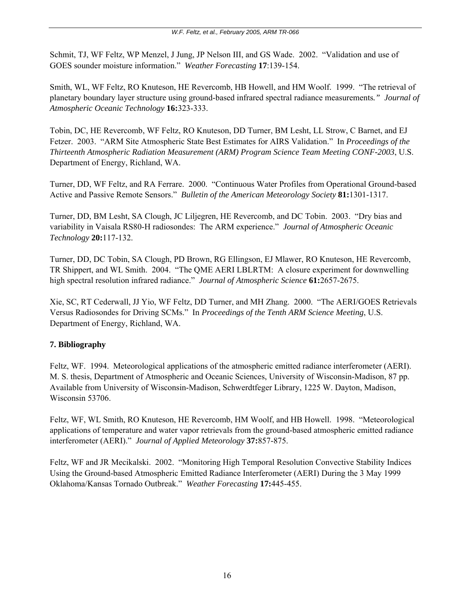Schmit, TJ, WF Feltz, WP Menzel, J Jung, JP Nelson III, and GS Wade. 2002. "Validation and use of GOES sounder moisture information." *Weather Forecasting* **17**:139-154.

Smith, WL, WF Feltz, RO Knuteson, HE Revercomb, HB Howell, and HM Woolf. 1999. "The retrieval of planetary boundary layer structure using ground-based infrared spectral radiance measurements*." Journal of Atmospheric Oceanic Technology* **16:**323-333.

Tobin, DC, HE Revercomb, WF Feltz, RO Knuteson, DD Turner, BM Lesht, LL Strow, C Barnet, and EJ Fetzer. 2003. "ARM Site Atmospheric State Best Estimates for AIRS Validation." In *Proceedings of the Thirteenth Atmospheric Radiation Measurement (ARM) Program Science Team Meeting CONF-2003*, U.S. Department of Energy, Richland, WA.

Turner, DD, WF Feltz, and RA Ferrare. 2000. "Continuous Water Profiles from Operational Ground-based Active and Passive Remote Sensors." *Bulletin of the American Meteorology Society* **81:**1301-1317.

Turner, DD, BM Lesht, SA Clough, JC Liljegren, HE Revercomb, and DC Tobin. 2003. "Dry bias and variability in Vaisala RS80-H radiosondes: The ARM experience." *Journal of Atmospheric Oceanic Technology* **20:**117-132.

Turner, DD, DC Tobin, SA Clough, PD Brown, RG Ellingson, EJ Mlawer, RO Knuteson, HE Revercomb, TR Shippert, and WL Smith. 2004. "The QME AERI LBLRTM: A closure experiment for downwelling high spectral resolution infrared radiance." *Journal of Atmospheric Science* **61:**2657-2675.

Xie, SC, RT Cederwall, JJ Yio, WF Feltz, DD Turner, and MH Zhang. 2000. "The AERI/GOES Retrievals Versus Radiosondes for Driving SCMs." In *Proceedings of the Tenth ARM Science Meeting*, U.S. Department of Energy, Richland, WA.

## **7. Bibliography**

Feltz, WF. 1994. Meteorological applications of the atmospheric emitted radiance interferometer (AERI). M. S. thesis, Department of Atmospheric and Oceanic Sciences, University of Wisconsin-Madison, 87 pp. Available from University of Wisconsin-Madison, Schwerdtfeger Library, 1225 W. Dayton, Madison, Wisconsin 53706.

Feltz, WF, WL Smith, RO Knuteson, HE Revercomb, HM Woolf, and HB Howell. 1998. "Meteorological applications of temperature and water vapor retrievals from the ground-based atmospheric emitted radiance interferometer (AERI)." *Journal of Applied Meteorology* **37:**857-875.

Feltz, WF and JR Mecikalski. 2002. "Monitoring High Temporal Resolution Convective Stability Indices Using the Ground-based Atmospheric Emitted Radiance Interferometer (AERI) During the 3 May 1999 Oklahoma/Kansas Tornado Outbreak." *Weather Forecasting* **17:**445-455.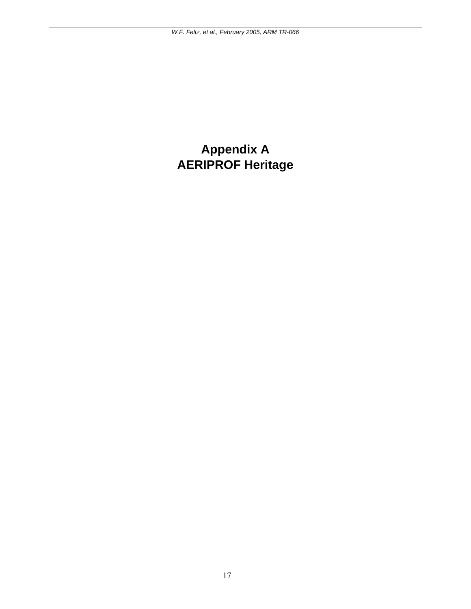# <span id="page-20-0"></span>**Appendix A AERIPROF Heritage**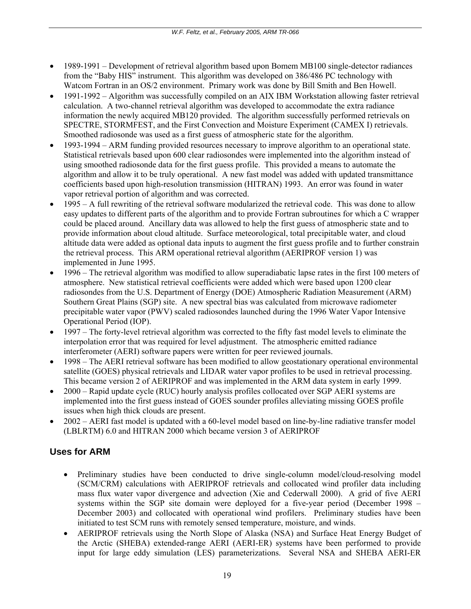- 1989-1991 Development of retrieval algorithm based upon Bomem MB100 single-detector radiances from the "Baby HIS" instrument. This algorithm was developed on 386/486 PC technology with Watcom Fortran in an OS/2 environment. Primary work was done by Bill Smith and Ben Howell.
- 1991-1992 Algorithm was successfully compiled on an AIX IBM Workstation allowing faster retrieval calculation. A two-channel retrieval algorithm was developed to accommodate the extra radiance information the newly acquired MB120 provided. The algorithm successfully performed retrievals on SPECTRE, STORMFEST, and the First Convection and Moisture Experiment (CAMEX I) retrievals. Smoothed radiosonde was used as a first guess of atmospheric state for the algorithm.
- 1993-1994 ARM funding provided resources necessary to improve algorithm to an operational state. Statistical retrievals based upon 600 clear radiosondes were implemented into the algorithm instead of using smoothed radiosonde data for the first guess profile. This provided a means to automate the algorithm and allow it to be truly operational. A new fast model was added with updated transmittance coefficients based upon high-resolution transmission (HITRAN) 1993. An error was found in water vapor retrieval portion of algorithm and was corrected.
- 1995 A full rewriting of the retrieval software modularized the retrieval code. This was done to allow easy updates to different parts of the algorithm and to provide Fortran subroutines for which a C wrapper could be placed around. Ancillary data was allowed to help the first guess of atmospheric state and to provide information about cloud altitude. Surface meteorological, total precipitable water, and cloud altitude data were added as optional data inputs to augment the first guess profile and to further constrain the retrieval process. This ARM operational retrieval algorithm (AERIPROF version 1) was implemented in June 1995.
- 1996 The retrieval algorithm was modified to allow superadiabatic lapse rates in the first 100 meters of atmosphere. New statistical retrieval coefficients were added which were based upon 1200 clear radiosondes from the U.S. Department of Energy (DOE) Atmospheric Radiation Measurement (ARM) Southern Great Plains (SGP) site. A new spectral bias was calculated from microwave radiometer precipitable water vapor (PWV) scaled radiosondes launched during the 1996 Water Vapor Intensive Operational Period (IOP).
- 1997 The forty-level retrieval algorithm was corrected to the fifty fast model levels to eliminate the interpolation error that was required for level adjustment. The atmospheric emitted radiance interferometer (AERI) software papers were written for peer reviewed journals.
- 1998 The AERI retrieval software has been modified to allow geostationary operational environmental satellite (GOES) physical retrievals and LIDAR water vapor profiles to be used in retrieval processing. This became version 2 of AERIPROF and was implemented in the ARM data system in early 1999.
- 2000 Rapid update cycle (RUC) hourly analysis profiles collocated over SGP AERI systems are implemented into the first guess instead of GOES sounder profiles alleviating missing GOES profile issues when high thick clouds are present.
- 2002 AERI fast model is updated with a 60-level model based on line-by-line radiative transfer model (LBLRTM) 6.0 and HITRAN 2000 which became version 3 of AERIPROF

## **Uses for ARM**

- Preliminary studies have been conducted to drive single-column model/cloud-resolving model (SCM/CRM) calculations with AERIPROF retrievals and collocated wind profiler data including mass flux water vapor divergence and advection (Xie and Cederwall 2000). A grid of five AERI systems within the SGP site domain were deployed for a five-year period (December 1998 – December 2003) and collocated with operational wind profilers. Preliminary studies have been initiated to test SCM runs with remotely sensed temperature, moisture, and winds.
- AERIPROF retrievals using the North Slope of Alaska (NSA) and Surface Heat Energy Budget of the Arctic (SHEBA) extended-range AERI (AERI-ER) systems have been performed to provide input for large eddy simulation (LES) parameterizations. Several NSA and SHEBA AERI-ER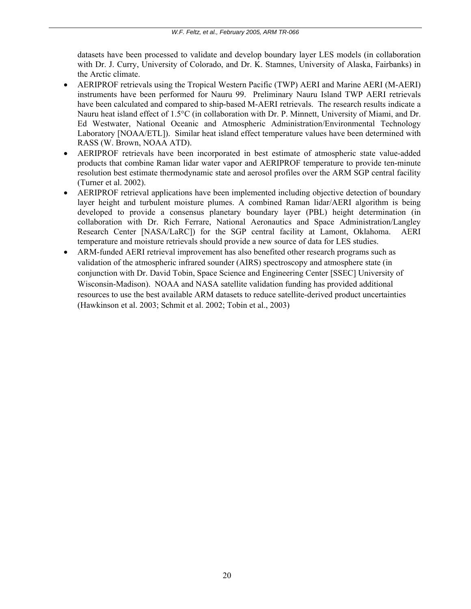datasets have been processed to validate and develop boundary layer LES models (in collaboration with Dr. J. Curry, University of Colorado, and Dr. K. Stamnes, University of Alaska, Fairbanks) in the Arctic climate.

- AERIPROF retrievals using the Tropical Western Pacific (TWP) AERI and Marine AERI (M-AERI) instruments have been performed for Nauru 99. Preliminary Nauru Island TWP AERI retrievals have been calculated and compared to ship-based M-AERI retrievals. The research results indicate a Nauru heat island effect of 1.5°C (in collaboration with Dr. P. Minnett, University of Miami, and Dr. Ed Westwater, National Oceanic and Atmospheric Administration/Environmental Technology Laboratory [NOAA/ETL]). Similar heat island effect temperature values have been determined with RASS (W. Brown, NOAA ATD).
- AERIPROF retrievals have been incorporated in best estimate of atmospheric state value-added products that combine Raman lidar water vapor and AERIPROF temperature to provide ten-minute resolution best estimate thermodynamic state and aerosol profiles over the ARM SGP central facility (Turner et al. 2002).
- AERIPROF retrieval applications have been implemented including objective detection of boundary layer height and turbulent moisture plumes. A combined Raman lidar/AERI algorithm is being developed to provide a consensus planetary boundary layer (PBL) height determination (in collaboration with Dr. Rich Ferrare, National Aeronautics and Space Administration/Langley Research Center [NASA/LaRC]) for the SGP central facility at Lamont, Oklahoma. AERI temperature and moisture retrievals should provide a new source of data for LES studies.
- ARM-funded AERI retrieval improvement has also benefited other research programs such as validation of the atmospheric infrared sounder (AIRS) spectroscopy and atmosphere state (in conjunction with Dr. David Tobin, Space Science and Engineering Center [SSEC] University of Wisconsin-Madison). NOAA and NASA satellite validation funding has provided additional resources to use the best available ARM datasets to reduce satellite-derived product uncertainties (Hawkinson et al. 2003; Schmit et al. 2002; Tobin et al., 2003)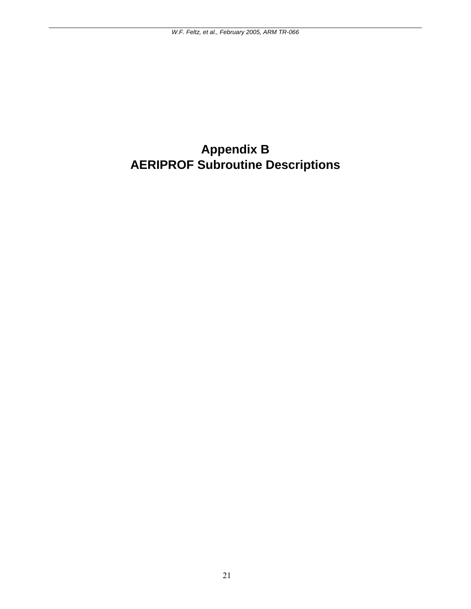# <span id="page-24-0"></span>**Appendix B AERIPROF Subroutine Descriptions**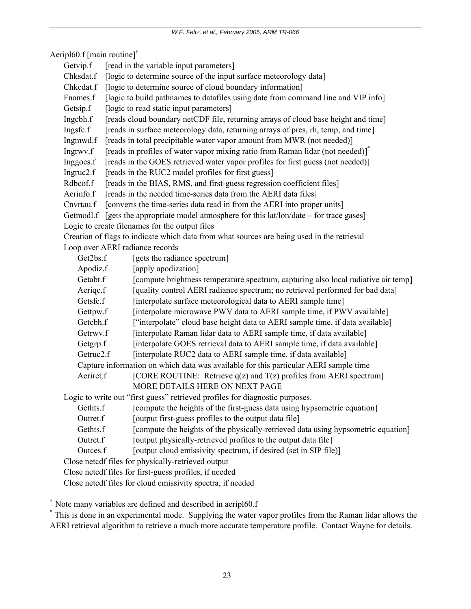Aeripl60.f [main routine]†

|  | Getvip.f | [read in the variable input parameters] |
|--|----------|-----------------------------------------|
|--|----------|-----------------------------------------|

Chksdat.f [logic to determine source of the input surface meteorology data]

Chkcdat.f [logic to determine source of cloud boundary information]

Frames.f [logic to build pathnames to datafiles using date from command line and VIP info]

Getsip.f [logic to read static input parameters]

Ingcbh.f [reads cloud boundary netCDF file, returning arrays of cloud base height and time]

Ingsfc.f [reads in surface meteorology data, returning arrays of pres, rh, temp, and time]

Ingmwd.f [reads in total precipitable water vapor amount from MWR (not needed)]

- Ingrwy.f [reads in profiles of water vapor mixing ratio from Raman lidar (not needed)]<sup>\*</sup>
- Inggoes.f [reads in the GOES retrieved water vapor profiles for first guess (not needed)]

Ingruc<sub>2.f</sub> [reads in the RUC<sub>2</sub> model profiles for first guess]

Rdbcof.f [reads in the BIAS, RMS, and first-guess regression coefficient files]

Aerinfo.f [reads in the needed time-series data from the AERI data files]

Cnvrtau.f [converts the time-series data read in from the AERI into proper units]

Getmodl.f [gets the appropriate model atmosphere for this lat/lon/date – for trace gases] Logic to create filenames for the output files

 Creation of flags to indicate which data from what sources are being used in the retrieval Loop over AERI radiance records

|                                                                                      | Get2bs.f                                                   | [gets the radiance spectrum]                                                       |  |  |  |
|--------------------------------------------------------------------------------------|------------------------------------------------------------|------------------------------------------------------------------------------------|--|--|--|
|                                                                                      | Apodiz.f                                                   | [apply apodization]                                                                |  |  |  |
|                                                                                      | Getabt.f                                                   | [compute brightness temperature spectrum, capturing also local radiative air temp] |  |  |  |
|                                                                                      | Aerigc.f                                                   | [quality control AERI radiance spectrum; no retrieval performed for bad data]      |  |  |  |
|                                                                                      | Getsfc.f                                                   | [interpolate surface meteorological data to AERI sample time]                      |  |  |  |
|                                                                                      | Gettpw.f                                                   | [interpolate microwave PWV data to AERI sample time, if PWV available]             |  |  |  |
|                                                                                      | Getcbh.f                                                   | ["interpolate" cloud base height data to AERI sample time, if data available]      |  |  |  |
|                                                                                      | Getrwy.f                                                   | [interpolate Raman lidar data to AERI sample time, if data available]              |  |  |  |
|                                                                                      | Getgrp.f                                                   | [interpolate GOES retrieval data to AERI sample time, if data available]           |  |  |  |
|                                                                                      | Getruc <sub>2.f</sub>                                      | [interpolate RUC2 data to AERI sample time, if data available]                     |  |  |  |
| Capture information on which data was available for this particular AERI sample time |                                                            |                                                                                    |  |  |  |
|                                                                                      | Aeriret.f                                                  | [CORE ROUTINE: Retrieve $q(z)$ and $T(z)$ profiles from AERI spectrum]             |  |  |  |
|                                                                                      |                                                            | MORE DETAILS HERE ON NEXT PAGE                                                     |  |  |  |
| Logic to write out "first guess" retrieved profiles for diagnostic purposes.         |                                                            |                                                                                    |  |  |  |
|                                                                                      | Gethts.f                                                   | [compute the heights of the first-guess data using hypsometric equation]           |  |  |  |
|                                                                                      | Outret.f                                                   | [output first-guess profiles to the output data file]                              |  |  |  |
|                                                                                      | Gethts.f                                                   | [compute the heights of the physically-retrieved data using hypsometric equation]  |  |  |  |
|                                                                                      | Outret.f                                                   | [output physically-retrieved profiles to the output data file]                     |  |  |  |
|                                                                                      | Outces.f                                                   | [output cloud emissivity spectrum, if desired (set in SIP file)]                   |  |  |  |
|                                                                                      | Close netcdf files for physically-retrieved output         |                                                                                    |  |  |  |
|                                                                                      | Close netcdf files for first-guess profiles, if needed     |                                                                                    |  |  |  |
|                                                                                      | Close netcdf files for cloud emissivity spectra, if needed |                                                                                    |  |  |  |

† Note many variables are defined and described in aeripl60.f

\* This is done in an experimental mode. Supplying the water vapor profiles from the Raman lidar allows the AERI retrieval algorithm to retrieve a much more accurate temperature profile. Contact Wayne for details.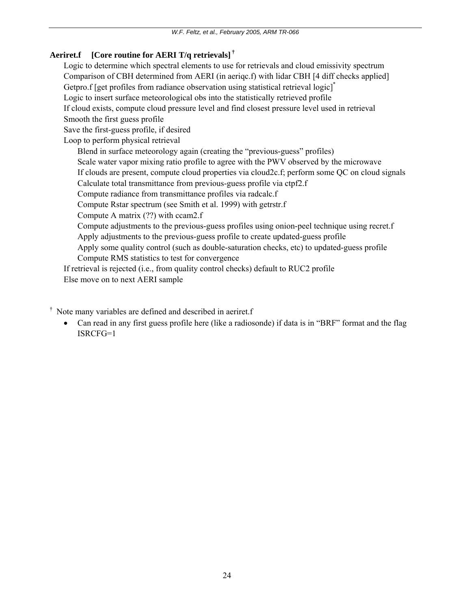## **Aeriret.f [Core routine for AERI T/q retrievals] †**

 Logic to determine which spectral elements to use for retrievals and cloud emissivity spectrum Comparison of CBH determined from AERI (in aeriqc.f) with lidar CBH [4 diff checks applied] Getpro.f [get profiles from radiance observation using statistical retrieval logic]<sup>\*</sup> Logic to insert surface meteorological obs into the statistically retrieved profile If cloud exists, compute cloud pressure level and find closest pressure level used in retrieval Smooth the first guess profile Save the first-guess profile, if desired Loop to perform physical retrieval Blend in surface meteorology again (creating the "previous-guess" profiles) Scale water vapor mixing ratio profile to agree with the PWV observed by the microwave If clouds are present, compute cloud properties via cloud2c.f; perform some QC on cloud signals Calculate total transmittance from previous-guess profile via ctpf2.f Compute radiance from transmittance profiles via radcalc.f Compute Rstar spectrum (see Smith et al. 1999) with getrstr.f Compute A matrix (??) with ccam2.f Compute adjustments to the previous-guess profiles using onion-peel technique using recret.f Apply adjustments to the previous-guess profile to create updated-guess profile Apply some quality control (such as double-saturation checks, etc) to updated-guess profile Compute RMS statistics to test for convergence If retrieval is rejected (i.e., from quality control checks) default to RUC2 profile

Else move on to next AERI sample

† Note many variables are defined and described in aeriret.f

• Can read in any first guess profile here (like a radiosonde) if data is in "BRF" format and the flag ISRCFG=1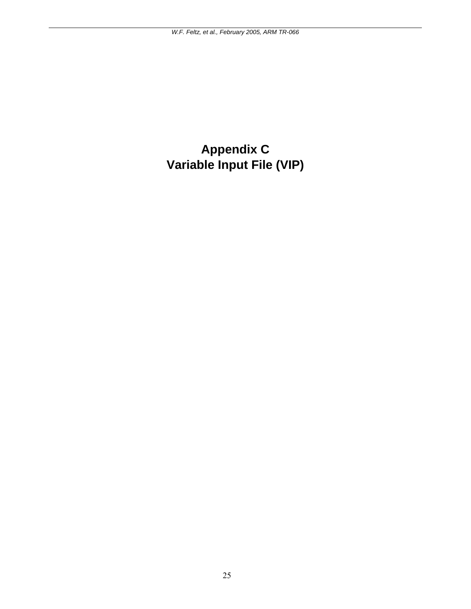# <span id="page-28-0"></span>**Appendix C Variable Input File (VIP)**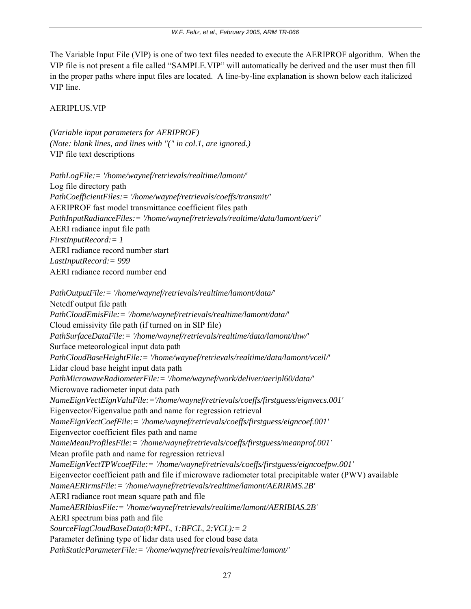The Variable Input File (VIP) is one of two text files needed to execute the AERIPROF algorithm. When the VIP file is not present a file called "SAMPLE.VIP" will automatically be derived and the user must then fill in the proper paths where input files are located. A line-by-line explanation is shown below each italicized VIP line.

## AERIPLUS.VIP

*(Variable input parameters for AERIPROF) (Note: blank lines, and lines with "(" in col.1, are ignored.)*  VIP file text descriptions

*PathLogFile:= '/home/waynef/retrievals/realtime/lamont/'*  Log file directory path *PathCoefficientFiles:= '/home/waynef/retrievals/coeffs/transmit/'*  AERIPROF fast model transmittance coefficient files path *PathInputRadianceFiles:= '/home/waynef/retrievals/realtime/data/lamont/aeri/'*  AERI radiance input file path *FirstInputRecord:= 1*  AERI radiance record number start *LastInputRecord:= 999*  AERI radiance record number end

*PathOutputFile:= '/home/waynef/retrievals/realtime/lamont/data/'*  Netcdf output file path *PathCloudEmisFile:= '/home/waynef/retrievals/realtime/lamont/data/'*  Cloud emissivity file path (if turned on in SIP file) *PathSurfaceDataFile:= '/home/waynef/retrievals/realtime/data/lamont/thw/'*  Surface meteorological input data path *PathCloudBaseHeightFile:= '/home/waynef/retrievals/realtime/data/lamont/vceil/'*  Lidar cloud base height input data path *PathMicrowaveRadiometerFile:= '/home/waynef/work/deliver/aeripl60/data/'*  Microwave radiometer input data path *NameEignVectEignValuFile:='/home/waynef/retrievals/coeffs/firstguess/eignvecs.001'*  Eigenvector/Eigenvalue path and name for regression retrieval *NameEignVectCoefFile:= '/home/waynef/retrievals/coeffs/firstguess/eigncoef.001'*  Eigenvector coefficient files path and name *NameMeanProfilesFile:= '/home/waynef/retrievals/coeffs/firstguess/meanprof.001'*  Mean profile path and name for regression retrieval *NameEignVectTPWcoefFile:= '/home/waynef/retrievals/coeffs/firstguess/eigncoefpw.001'*  Eigenvector coefficient path and file if microwave radiometer total precipitable water (PWV) available *NameAERIrmsFile:= '/home/waynef/retrievals/realtime/lamont/AERIRMS.2B'*  AERI radiance root mean square path and file *NameAERIbiasFile:= '/home/waynef/retrievals/realtime/lamont/AERIBIAS.2B'*  AERI spectrum bias path and file *SourceFlagCloudBaseData(0:MPL, 1:BFCL, 2:VCL):= 2*  Parameter defining type of lidar data used for cloud base data *PathStaticParameterFile:= '/home/waynef/retrievals/realtime/lamont/'*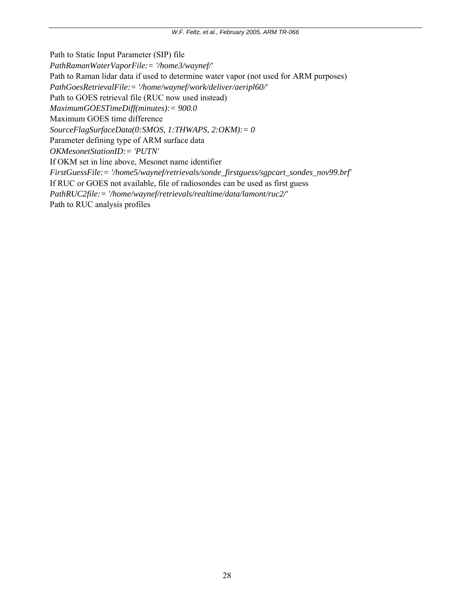Path to Static Input Parameter (SIP) file

*PathRamanWaterVaporFile:= '/home3/waynef/'* 

Path to Raman lidar data if used to determine water vapor (not used for ARM purposes)

*PathGoesRetrievalFile:= '/home/waynef/work/deliver/aeripl60/'* 

Path to GOES retrieval file (RUC now used instead)

*MaximumGOESTimeDiff(minutes):= 900.0* 

Maximum GOES time difference

*SourceFlagSurfaceData(0:SMOS, 1:THWAPS, 2:OKM):= 0* 

Parameter defining type of ARM surface data

*OKMesonetStationID:= 'PUTN'* 

If OKM set in line above, Mesonet name identifier

*FirstGuessFile:= '/home5/waynef/retrievals/sonde\_firstguess/sgpcart\_sondes\_nov99.brf'* 

If RUC or GOES not available, file of radiosondes can be used as first guess

*PathRUC2file:= '/home/waynef/retrievals/realtime/data/lamont/ruc2/'* 

Path to RUC analysis profiles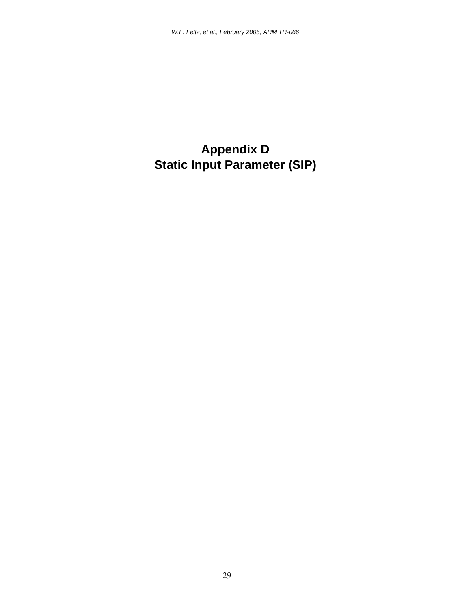# <span id="page-32-0"></span>**Appendix D Static Input Parameter (SIP)**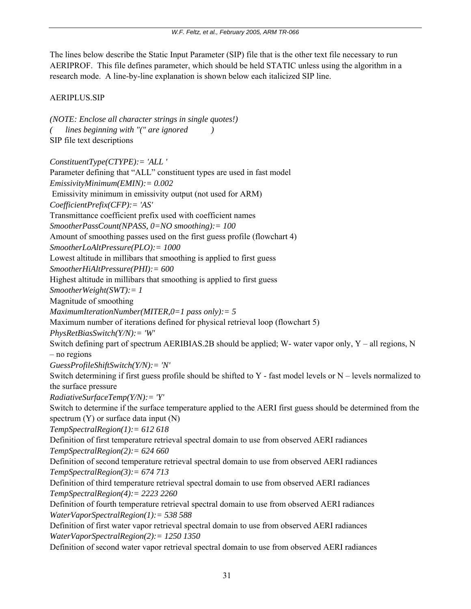The lines below describe the Static Input Parameter (SIP) file that is the other text file necessary to run AERIPROF. This file defines parameter, which should be held STATIC unless using the algorithm in a research mode. A line-by-line explanation is shown below each italicized SIP line.

## AERIPLUS.SIP

```
(NOTE: Enclose all character strings in single quotes!) 
    ( lines beginning with "(" are ignored ) 
SIP file text descriptions 
ConstituentType(CTYPE):= 'ALL ' 
Parameter defining that "ALL" constituent types are used in fast model 
EmissivityMinimum(EMIN):= 0.002 
 Emissivity minimum in emissivity output (not used for ARM) 
CoefficientPrefix(CFP):= 'AS' 
Transmittance coefficient prefix used with coefficient names 
SmootherPassCount(NPASS, 0=NO smoothing):= 100 
Amount of smoothing passes used on the first guess profile (flowchart 4) 
SmootherLoAltPressure(PLO):= 1000 
Lowest altitude in millibars that smoothing is applied to first guess 
SmootherHiAltPressure(PHI):= 600 
Highest altitude in millibars that smoothing is applied to first guess 
SmootherWeight(SWT):= 1 
Magnitude of smoothing 
MaximumIterationNumber(MITER,0=1 pass only):= 5 
Maximum number of iterations defined for physical retrieval loop (flowchart 5) 
PhysRetBiasSwitch(Y/N):= 'W' 
Switch defining part of spectrum AERIBIAS.2B should be applied; W- water vapor only, Y – all regions, N
– no regions 
GuessProfileShiftSwitch(Y/N):= 'N' 
Switch determining if first guess profile should be shifted to Y - fast model levels or N – levels normalized to 
the surface pressure 
RadiativeSurfaceTemp(Y/N):= 'Y' 
Switch to determine if the surface temperature applied to the AERI first guess should be determined from the 
spectrum (Y) or surface data input (N)
TempSpectralRegion(1):= 612 618 
Definition of first temperature retrieval spectral domain to use from observed AERI radiances 
TempSpectralRegion(2):= 624 660 
Definition of second temperature retrieval spectral domain to use from observed AERI radiances 
TempSpectralRegion(3):= 674 713 
Definition of third temperature retrieval spectral domain to use from observed AERI radiances 
TempSpectralRegion(4):= 2223 2260 
Definition of fourth temperature retrieval spectral domain to use from observed AERI radiances 
WaterVaporSpectralRegion(1):= 538 588 
Definition of first water vapor retrieval spectral domain to use from observed AERI radiances 
WaterVaporSpectralRegion(2):= 1250 1350 
Definition of second water vapor retrieval spectral domain to use from observed AERI radiances
```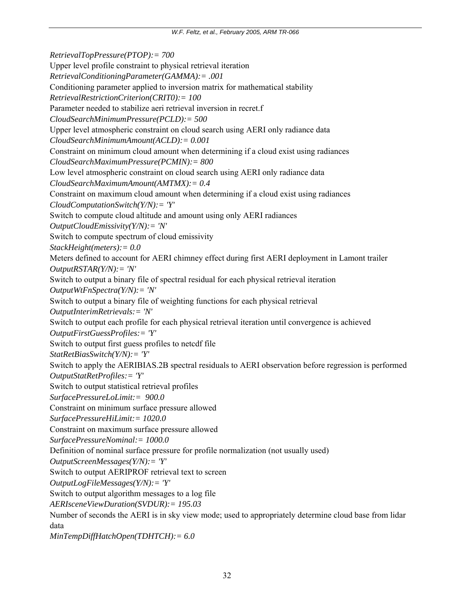*RetrievalTopPressure(PTOP):= 700*  Upper level profile constraint to physical retrieval iteration *RetrievalConditioningParameter(GAMMA):= .001*  Conditioning parameter applied to inversion matrix for mathematical stability *RetrievalRestrictionCriterion(CRIT0):= 100*  Parameter needed to stabilize aeri retrieval inversion in recret.f *CloudSearchMinimumPressure(PCLD):= 500*  Upper level atmospheric constraint on cloud search using AERI only radiance data *CloudSearchMinimumAmount(ACLD):= 0.001*  Constraint on minimum cloud amount when determining if a cloud exist using radiances *CloudSearchMaximumPressure(PCMIN):= 800*  Low level atmospheric constraint on cloud search using AERI only radiance data *CloudSearchMaximumAmount(AMTMX):= 0.4*  Constraint on maximum cloud amount when determining if a cloud exist using radiances *CloudComputationSwitch(Y/N):= 'Y'*  Switch to compute cloud altitude and amount using only AERI radiances *OutputCloudEmissivity(Y/N):= 'N'*  Switch to compute spectrum of cloud emissivity *StackHeight(meters):= 0.0*  Meters defined to account for AERI chimney effect during first AERI deployment in Lamont trailer *OutputRSTAR(Y/N):= 'N'*  Switch to output a binary file of spectral residual for each physical retrieval iteration *OutputWtFnSpectra(Y/N):= 'N'*  Switch to output a binary file of weighting functions for each physical retrieval *OutputInterimRetrievals:= 'N'*  Switch to output each profile for each physical retrieval iteration until convergence is achieved *OutputFirstGuessProfiles:= 'Y'*  Switch to output first guess profiles to netcdf file *StatRetBiasSwitch(Y/N):= 'Y'*  Switch to apply the AERIBIAS.2B spectral residuals to AERI observation before regression is performed *OutputStatRetProfiles:= 'Y'*  Switch to output statistical retrieval profiles *SurfacePressureLoLimit:= 900.0*  Constraint on minimum surface pressure allowed *SurfacePressureHiLimit:= 1020.0*  Constraint on maximum surface pressure allowed *SurfacePressureNominal:= 1000.0*  Definition of nominal surface pressure for profile normalization (not usually used) *OutputScreenMessages(Y/N):= 'Y'*  Switch to output AERIPROF retrieval text to screen *OutputLogFileMessages(Y/N):= 'Y'*  Switch to output algorithm messages to a log file *AERIsceneViewDuration(SVDUR):= 195.03*  Number of seconds the AERI is in sky view mode; used to appropriately determine cloud base from lidar data *MinTempDiffHatchOpen(TDHTCH):= 6.0*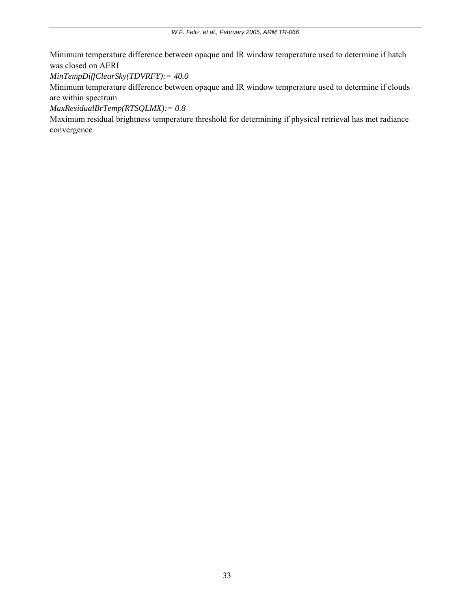Minimum temperature difference between opaque and IR window temperature used to determine if hatch was closed on AERI

*MinTempDiffClearSky(TDVRFY):= 40.0* 

Minimum temperature difference between opaque and IR window temperature used to determine if clouds are within spectrum

*MaxResidualBrTemp(RTSQLMX):= 0.8* 

Maximum residual brightness temperature threshold for determining if physical retrieval has met radiance convergence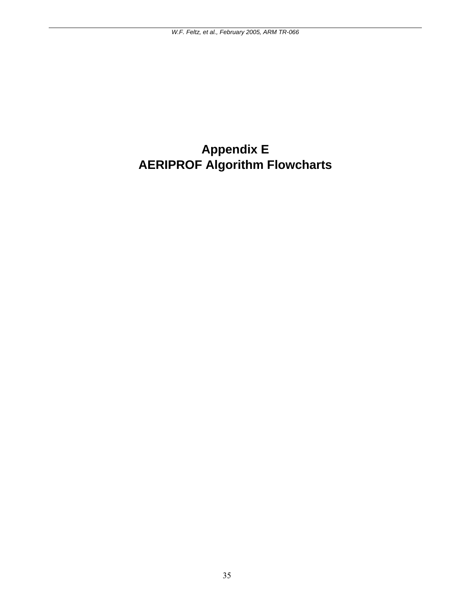# <span id="page-38-0"></span>**Appendix E AERIPROF Algorithm Flowcharts**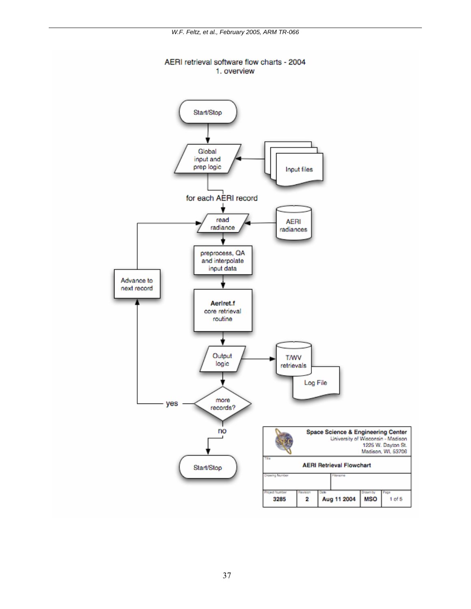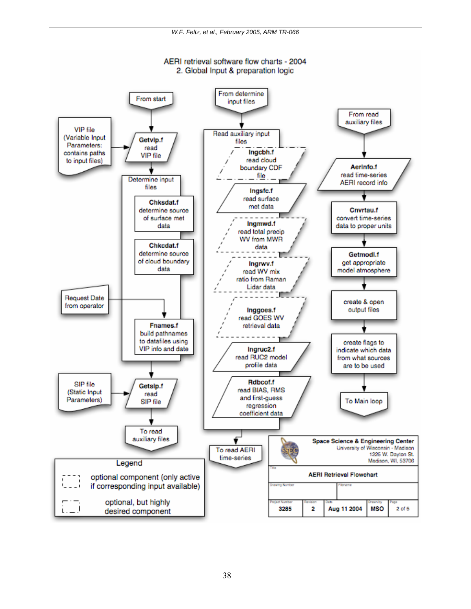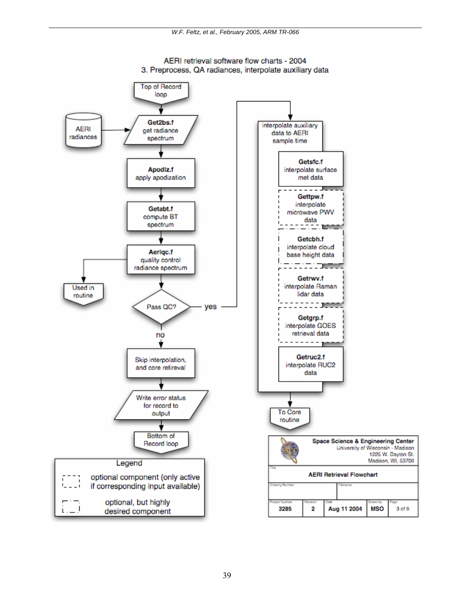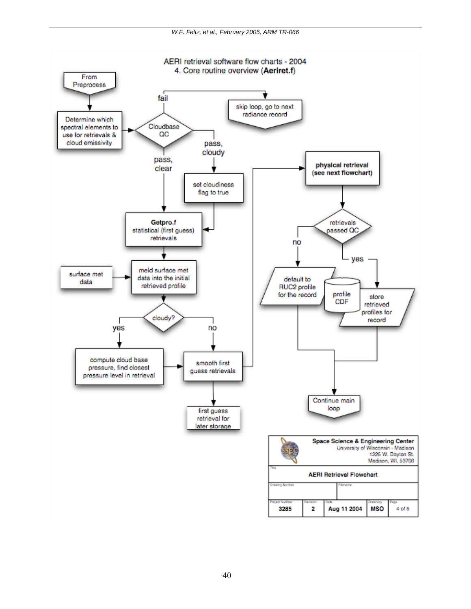